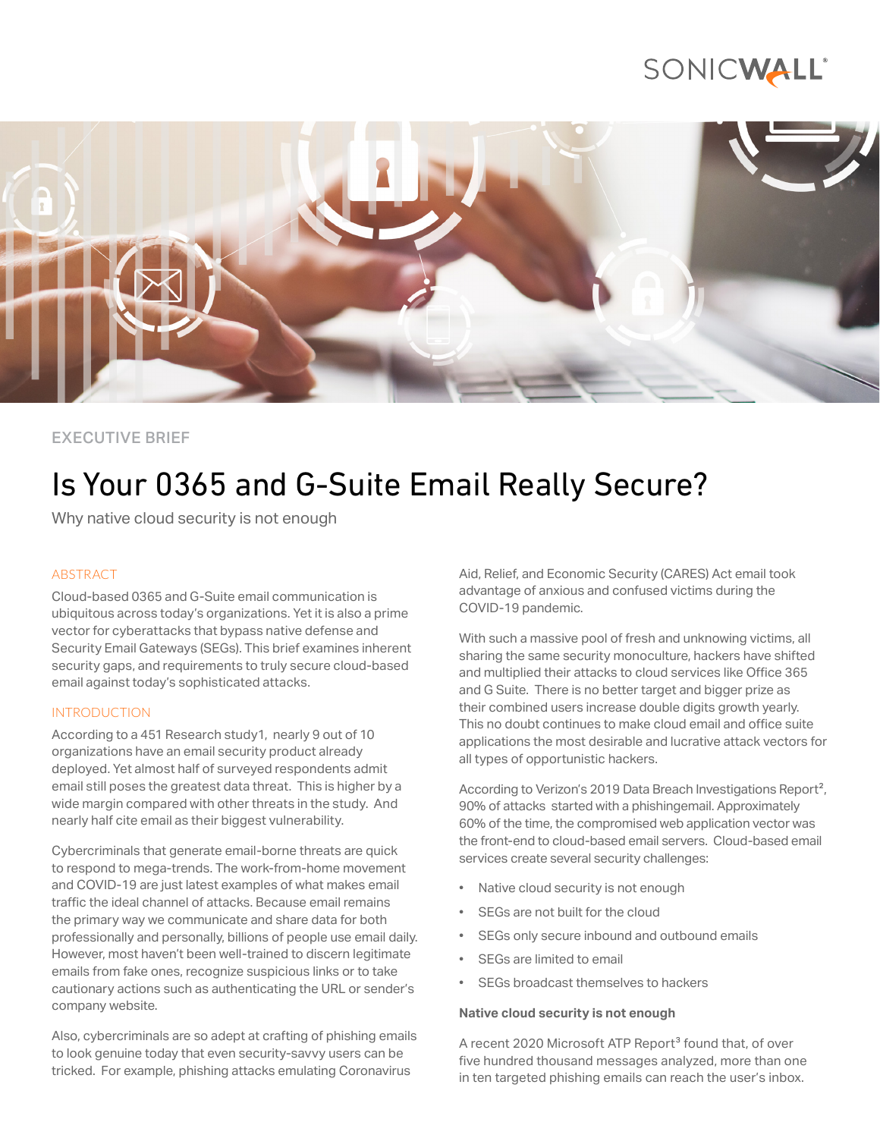## SONICWALL®



### EXECUTIVE BRIEF

# Is Your 0365 and G-Suite Email Really Secure?

Why native cloud security is not enough

#### ABSTRACT

Cloud-based 0365 and G-Suite email communication is ubiquitous across today's organizations. Yet it is also a prime vector for cyberattacks that bypass native defense and Security Email Gateways (SEGs). This brief examines inherent security gaps, and requirements to truly secure cloud-based email against today's sophisticated attacks.

### INTRODUCTION

According to a 451 Research study1, nearly 9 out of 10 organizations have an email security product already deployed. Yet almost half of surveyed respondents admit email still poses the greatest data threat. This is higher by a wide margin compared with other threats in the study. And nearly half cite email as their biggest vulnerability.

Cybercriminals that generate email-borne threats are quick to respond to mega-trends. The work-from-home movement and COVID-19 are just latest examples of what makes email traffic the ideal channel of attacks. Because email remains the primary way we communicate and share data for both professionally and personally, billions of people use email daily. However, most haven't been well-trained to discern legitimate emails from fake ones, recognize suspicious links or to take cautionary actions such as authenticating the URL or sender's company website.

Also, cybercriminals are so adept at crafting of phishing emails to look genuine today that even security-savvy users can be tricked. For example, phishing attacks emulating Coronavirus

Aid, Relief, and Economic Security (CARES) Act email took advantage of anxious and confused victims during the COVID-19 pandemic.

With such a massive pool of fresh and unknowing victims, all sharing the same security monoculture, hackers have shifted and multiplied their attacks to cloud services like Office 365 and G Suite. There is no better target and bigger prize as their combined users increase double digits growth yearly. This no doubt continues to make cloud email and office suite applications the most desirable and lucrative attack vectors for all types of opportunistic hackers.

According to Verizon's 2019 Data Breach Investigations Report<sup>2</sup>, 90% of attacks started with a phishingemail. Approximately 60% of the time, the compromised web application vector was the front-end to cloud-based email servers. Cloud-based email services create several security challenges:

- Native cloud security is not enough
- SEGs are not built for the cloud
- SEGs only secure inbound and outbound emails
- SEGs are limited to email
- SEGs broadcast themselves to hackers

#### **Native cloud security is not enough**

A recent 2020 Microsoft ATP Report<sup>3</sup> found that, of over five hundred thousand messages analyzed, more than one in ten targeted phishing emails can reach the user's inbox.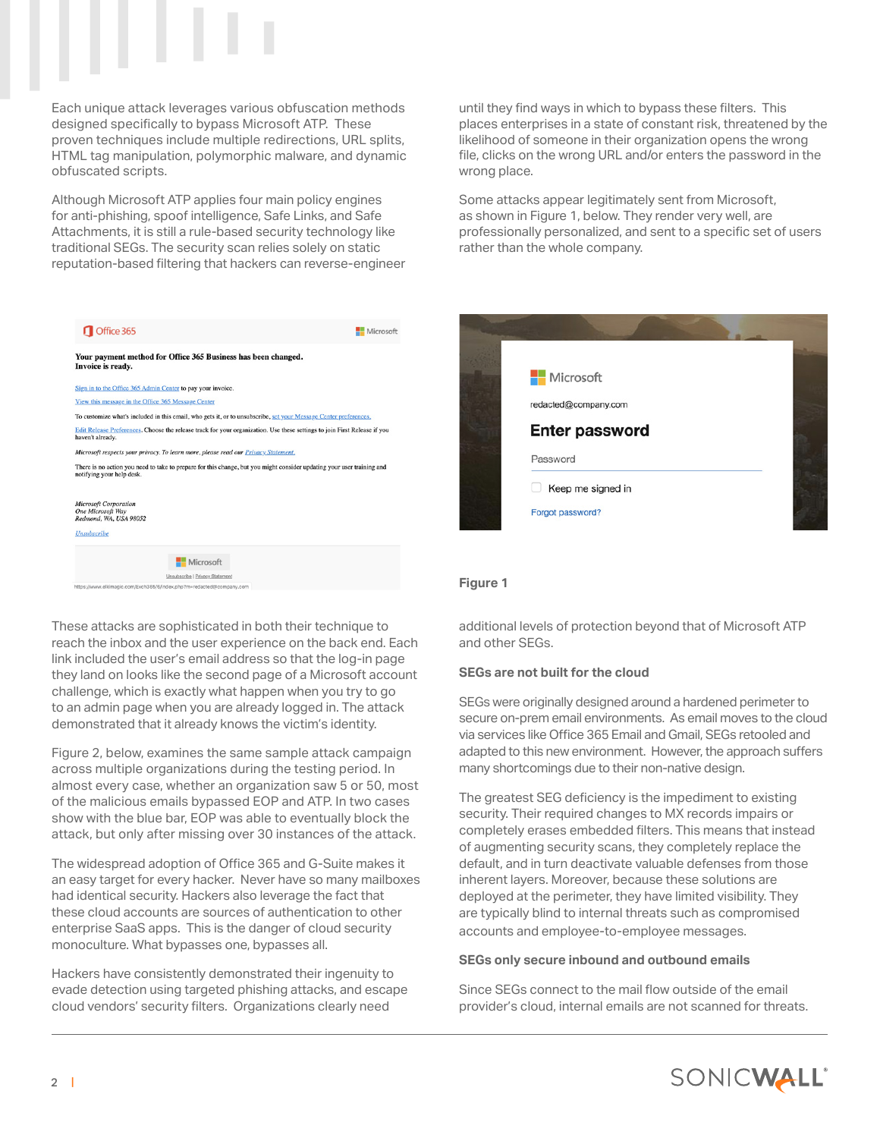

Each unique attack leverages various obfuscation methods designed specifically to bypass Microsoft ATP. These proven techniques include multiple redirections, URL splits, HTML tag manipulation, polymorphic malware, and dynamic obfuscated scripts.

Although Microsoft ATP applies four main policy engines for anti-phishing, spoof intelligence, Safe Links, and Safe Attachments, it is still a rule-based security technology like traditional SEGs. The security scan relies solely on static reputation-based filtering that hackers can reverse-engineer

| Office 365                                                                                                                                          | Microsoft |
|-----------------------------------------------------------------------------------------------------------------------------------------------------|-----------|
| Your payment method for Office 365 Business has been changed.<br>Invoice is ready.                                                                  |           |
| Sign in to the Office 365 Admin Center to pay your invoice.                                                                                         |           |
| View this message in the Office 365 Message Center                                                                                                  |           |
| To customize what's included in this email, who gets it, or to unsubscribe, set your Message Center preferences,                                    |           |
| Edit Release Preferences. Choose the release track for your organization. Use these settings to join First Release if you<br>haven't already.       |           |
| Microsoft respects your privacy. To learn more, please read our Privacy Statement.                                                                  |           |
| There is no action you need to take to prepare for this change, but you might consider updating your user training and<br>notifying your help desk. |           |
| <b>Microsoft Corporation</b><br><b>One Microsoft Way</b><br>Redmond, WA, USA 98052                                                                  |           |
| <b>Unsubscribe</b>                                                                                                                                  |           |
| Microsoft                                                                                                                                           |           |
| Unsubscribe   Privacy Statement                                                                                                                     |           |

These attacks are sophisticated in both their technique to reach the inbox and the user experience on the back end. Each link included the user's email address so that the log-in page they land on looks like the second page of a Microsoft account challenge, which is exactly what happen when you try to go to an admin page when you are already logged in. The attack demonstrated that it already knows the victim's identity.

Figure 2, below, examines the same sample attack campaign across multiple organizations during the testing period. In almost every case, whether an organization saw 5 or 50, most of the malicious emails bypassed EOP and ATP. In two cases show with the blue bar, EOP was able to eventually block the attack, but only after missing over 30 instances of the attack.

The widespread adoption of Office 365 and G-Suite makes it an easy target for every hacker. Never have so many mailboxes had identical security. Hackers also leverage the fact that these cloud accounts are sources of authentication to other enterprise SaaS apps. This is the danger of cloud security monoculture. What bypasses one, bypasses all.

Hackers have consistently demonstrated their ingenuity to evade detection using targeted phishing attacks, and escape cloud vendors' security filters. Organizations clearly need

until they find ways in which to bypass these filters. This places enterprises in a state of constant risk, threatened by the likelihood of someone in their organization opens the wrong file, clicks on the wrong URL and/or enters the password in the wrong place.

Some attacks appear legitimately sent from Microsoft, as shown in Figure 1, below. They render very well, are professionally personalized, and sent to a specific set of users rather than the whole company.



#### **Figure 1**

additional levels of protection beyond that of Microsoft ATP and other SEGs.

#### **SEGs are not built for the cloud**

SEGs were originally designed around a hardened perimeter to secure on-prem email environments. As email moves to the cloud via services like Office 365 Email and Gmail, SEGs retooled and adapted to this new environment. However, the approach suffers many shortcomings due to their non-native design.

The greatest SEG deficiency is the impediment to existing security. Their required changes to MX records impairs or completely erases embedded filters. This means that instead of augmenting security scans, they completely replace the default, and in turn deactivate valuable defenses from those inherent layers. Moreover, because these solutions are deployed at the perimeter, they have limited visibility. They are typically blind to internal threats such as compromised accounts and employee-to-employee messages.

#### **SEGs only secure inbound and outbound emails**

Since SEGs connect to the mail flow outside of the email provider's cloud, internal emails are not scanned for threats.